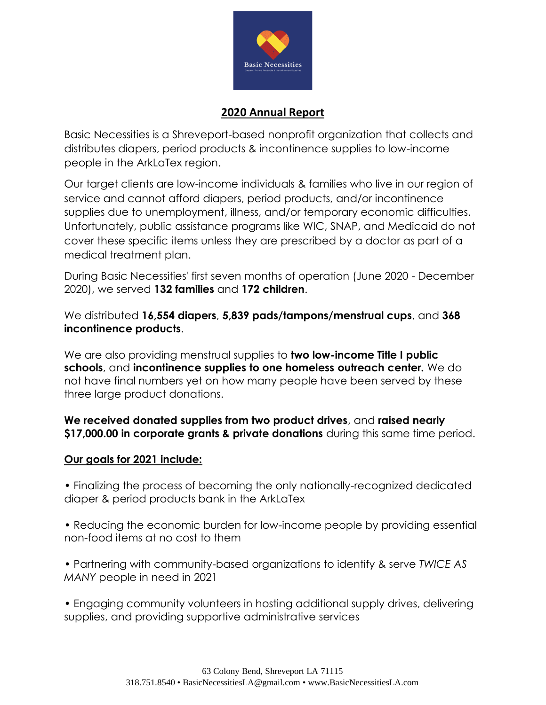

## **2020 Annual Report**

Basic Necessities is a Shreveport-based nonprofit organization that collects and distributes diapers, period products & incontinence supplies to low-income people in the ArkLaTex region.

Our target clients are low-income individuals & families who live in our region of service and cannot afford diapers, period products, and/or incontinence supplies due to unemployment, illness, and/or temporary economic difficulties. Unfortunately, public assistance programs like WIC, SNAP, and Medicaid do not cover these specific items unless they are prescribed by a doctor as part of a medical treatment plan.

During Basic Necessities' first seven months of operation (June 2020 - December 2020), we served **132 families** and **172 children**.

We distributed **16,554 diapers**, **5,839 pads/tampons/menstrual cups**, and **368 incontinence products**.

We are also providing menstrual supplies to **two low-income Title I public schools**, and **incontinence supplies to one homeless outreach center.** We do not have final numbers yet on how many people have been served by these three large product donations.

## **We received donated supplies from two product drives**, and **raised nearly \$17,000.00 in corporate grants & private donations** during this same time period.

## **Our goals for 2021 include:**

• Finalizing the process of becoming the only nationally-recognized dedicated diaper & period products bank in the ArkLaTex

• Reducing the economic burden for low-income people by providing essential non-food items at no cost to them

• Partnering with community-based organizations to identify & serve *TWICE AS MANY* people in need in 2021

• Engaging community volunteers in hosting additional supply drives, delivering supplies, and providing supportive administrative services